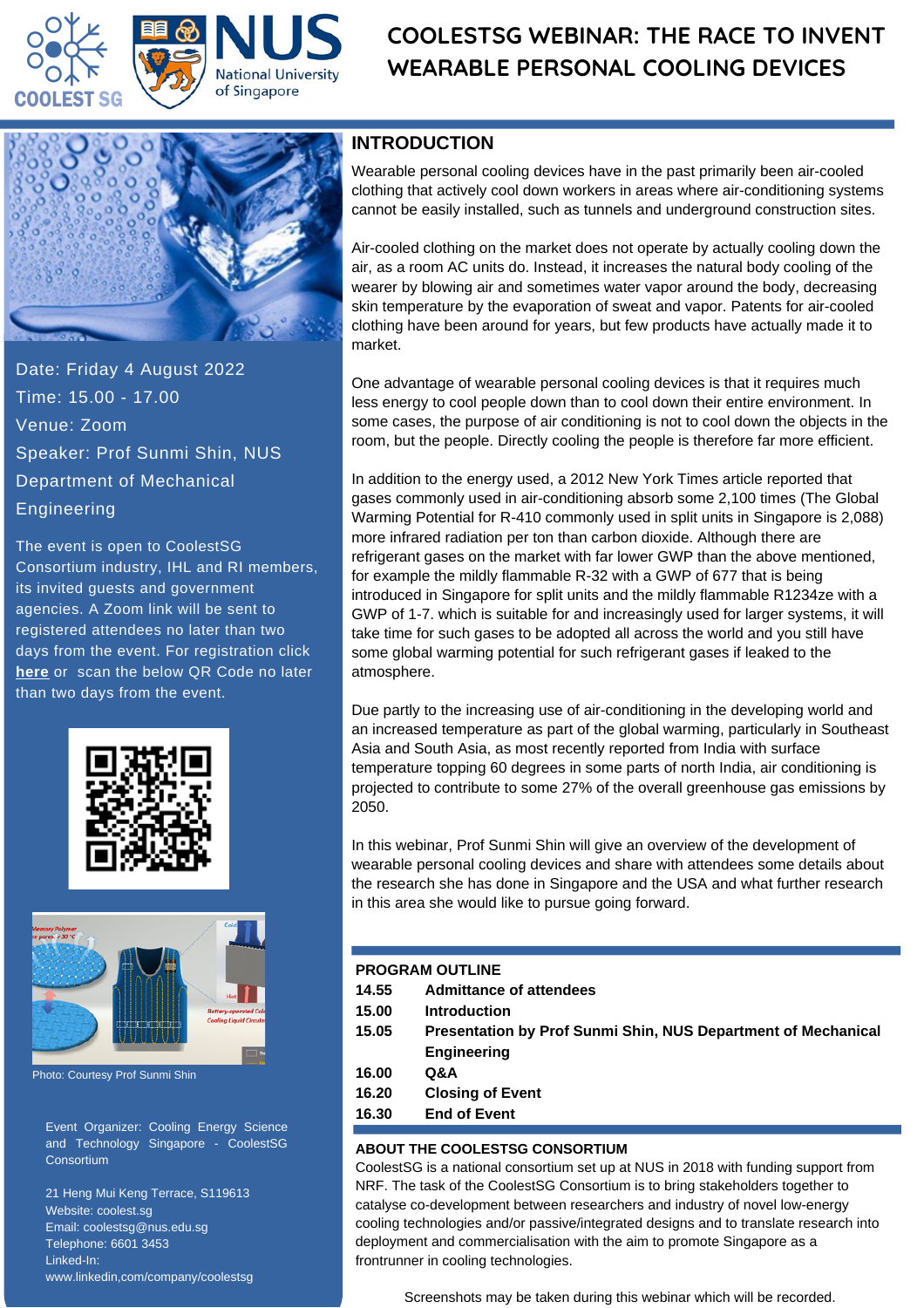

# **COOLESTSG WEBINAR: THE RACE TO INVENT WEARABLE PERSONAL COOLING DEVICES**



Date: Friday 4 August 2022 Time: 15.00 - 17.00 Venue: Zoom Speaker: Prof Sunmi Shin, NUS Department of Mechanical Engineering

The event is open to CoolestSG Consortium industry, IHL and RI members, its invited guests and government agencies. A Zoom link will be sent to registered attendees no later than two days from the event. For registration click **[here](https://forms.gle/qfcMCUMN9k5eqEAv9)** or scan the below QR Code no later than two days from the event.





Photo: Courtesy Prof Sunmi Shin

Event Organizer: Cooling Energy Science and Technology Singapore - CoolestSG **Consortium** 

21 Heng Mui Keng Terrace, S119613 Website: coolest.sg Email: coolestsg@nus.edu.sg Telephone: 6601 3453 Linked-In: www.linkedin,com/company/coolestsg

### **INTRODUCTION**

Wearable personal cooling devices have in the past primarily been air-cooled clothing that actively cool down workers in areas where [air-conditioning](https://en.wikipedia.org/wiki/Air_conditioning) systems cannot be easily installed, such as tunnels and underground construction sites.

Air-cooled clothing on the market does not operate by actually cooling down the air, as a room AC units do. Instead, it increases the natural body cooling of the wearer by blowing air and sometimes water vapor around the body, decreasing skin temperature by the evaporation of sweat and vapor. Patents for air-cooled clothing have been around for years, but few products have actually made it to market.

One advantage of wearable personal cooling devices is that it requires much less energy to cool people down than to cool down their entire environment. In some cases, the purpose of air conditioning is not to cool down the objects in the room, but the people. Directly cooling the people is therefore far more efficient.

In addition to the energy used, a 2012 New York Times article reported that gases commonly used in air-conditioning absorb some 2,100 times (The Global Warming Potential for R-410 commonly used in split units in Singapore is 2,088) more infrared radiation per ton than carbon dioxide. Although there are refrigerant gases on the market with far lower GWP than the above mentioned, for example the mildly flammable R-32 with a GWP of 677 that is being introduced in Singapore for split units and the mildly flammable R1234ze with a GWP of 1-7. which is suitable for and increasingly used for larger systems, it will take time for such gases to be adopted all across the world and you still have some global warming potential for such refrigerant gases if leaked to the atmosphere.

Due partly to the increasing use of air-conditioning in the developing world and an increased temperature as part of the global warming, particularly in Southeast Asia and South Asia, as most recently reported from India with surface temperature topping 60 degrees in some parts of north India, air conditioning is projected to contribute to some 27% of the overall greenhouse gas emissions by 2050.

In this webinar, Prof Sunmi Shin will give an overview of the development of wearable personal cooling devices and share with attendees some details about the research she has done in Singapore and the USA and what further research in this area she would like to pursue going forward.

#### **PROGRAM OUTLINE**

- **14.55 Admittance of attendees**
- **15.00 Introduction**
- **15.05 Presentation by Prof Sunmi Shin, NUS Department of Mechanical Engineering**
- **16.00 Q&A**
- **16.20 Closing of Event**
- **16.30 End of Event**

#### **ABOUT THE COOLESTSG CONSORTIUM**

CoolestSG is a national consortium set up at NUS in 2018 with funding support from NRF. The task of the CoolestSG Consortium is to bring stakeholders together to catalyse co-development between researchers and industry of novel low-energy cooling technologies and/or passive/integrated designs and to translate research into deployment and commercialisation with the aim to promote Singapore as a frontrunner in cooling technologies.

Screenshots may be taken during this webinar which will be recorded.